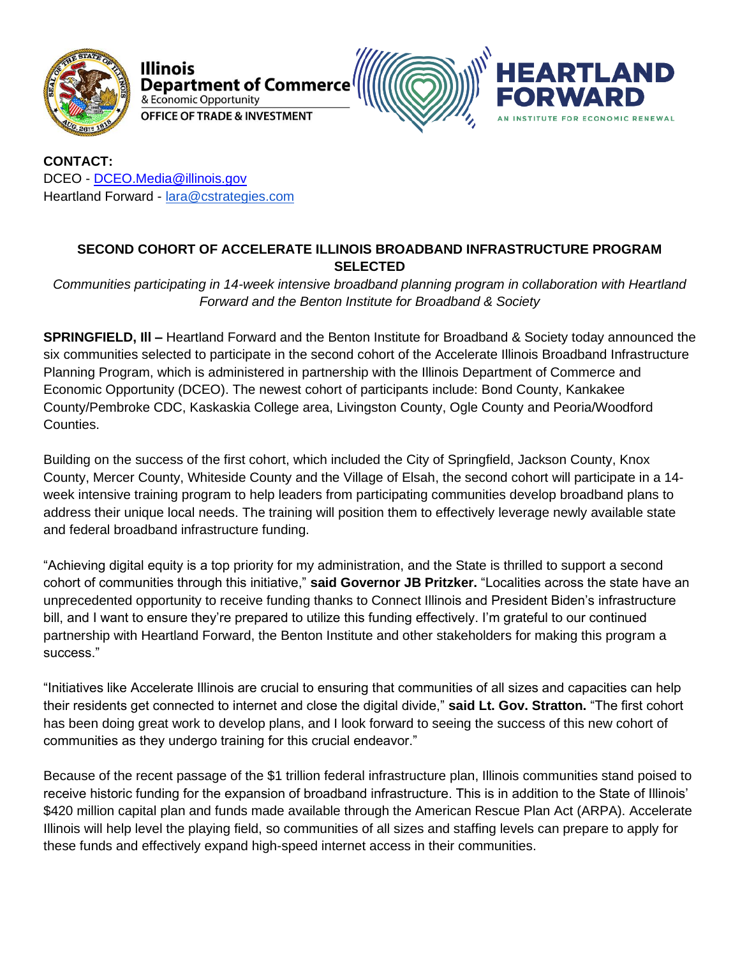



**CONTACT:** DCEO - [DCEO.Media@illinois.gov](mailto:DCEO.Media@illinois.gov) Heartland Forward - [lara@cstrategies.com](mailto:lara@cstrategies.com)

## **SECOND COHORT OF ACCELERATE ILLINOIS BROADBAND INFRASTRUCTURE PROGRAM SELECTED**

*Communities participating in 14-week intensive broadband planning program in collaboration with Heartland Forward and the Benton Institute for Broadband & Society*

**SPRINGFIELD, Ill –** Heartland Forward and the Benton Institute for Broadband & Society today announced the six communities selected to participate in the second cohort of the Accelerate Illinois Broadband Infrastructure Planning Program, which is administered in partnership with the Illinois Department of Commerce and Economic Opportunity (DCEO). The newest cohort of participants include: Bond County, Kankakee County/Pembroke CDC, Kaskaskia College area, Livingston County, Ogle County and Peoria/Woodford Counties.

Building on the success of the first cohort, which included the City of Springfield, Jackson County, Knox County, Mercer County, Whiteside County and the Village of Elsah, the second cohort will participate in a 14 week intensive training program to help leaders from participating communities develop broadband plans to address their unique local needs. The training will position them to effectively leverage newly available state and federal broadband infrastructure funding.

"Achieving digital equity is a top priority for my administration, and the State is thrilled to support a second cohort of communities through this initiative," **said Governor JB Pritzker.** "Localities across the state have an unprecedented opportunity to receive funding thanks to Connect Illinois and President Biden's infrastructure bill, and I want to ensure they're prepared to utilize this funding effectively. I'm grateful to our continued partnership with Heartland Forward, the Benton Institute and other stakeholders for making this program a success."

"Initiatives like Accelerate Illinois are crucial to ensuring that communities of all sizes and capacities can help their residents get connected to internet and close the digital divide," **said Lt. Gov. Stratton.** "The first cohort has been doing great work to develop plans, and I look forward to seeing the success of this new cohort of communities as they undergo training for this crucial endeavor."

Because of the recent passage of the \$1 trillion federal infrastructure plan, Illinois communities stand poised to receive historic funding for the expansion of broadband infrastructure. This is in addition to the State of Illinois' \$420 million capital plan and funds made available through the American Rescue Plan Act (ARPA). Accelerate Illinois will help level the playing field, so communities of all sizes and staffing levels can prepare to apply for these funds and effectively expand high-speed internet access in their communities.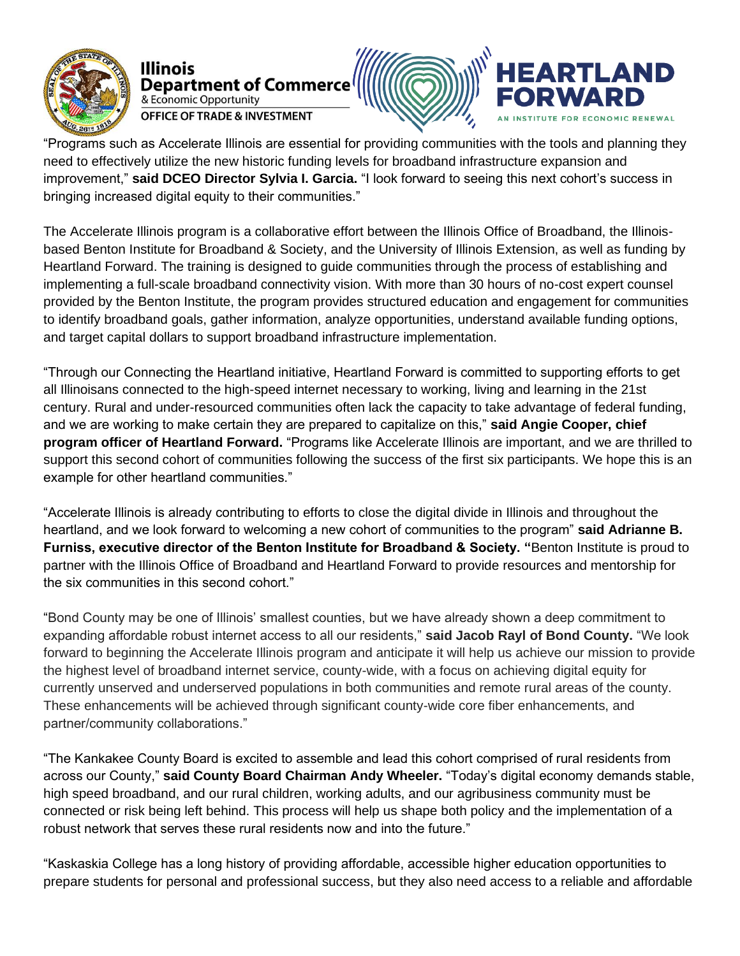

**RTLAND** Illinois Department of Commerce & Economic Opportunity **OFFICE OF TRADE & INVESTMENT** 

"Programs such as Accelerate Illinois are essential for providing communities with the tools and planning they need to effectively utilize the new historic funding levels for broadband infrastructure expansion and improvement," **said DCEO Director Sylvia I. Garcia.** "I look forward to seeing this next cohort's success in bringing increased digital equity to their communities."

The Accelerate Illinois program is a collaborative effort between the Illinois Office of Broadband, the Illinoisbased Benton Institute for Broadband & Society, and the University of Illinois Extension, as well as funding by Heartland Forward. The training is designed to guide communities through the process of establishing and implementing a full-scale broadband connectivity vision. With more than 30 hours of no-cost expert counsel provided by the Benton Institute, the program provides structured education and engagement for communities to identify broadband goals, gather information, analyze opportunities, understand available funding options, and target capital dollars to support broadband infrastructure implementation.

"Through our Connecting the Heartland initiative, Heartland Forward is committed to supporting efforts to get all Illinoisans connected to the high-speed internet necessary to working, living and learning in the 21st century. Rural and under-resourced communities often lack the capacity to take advantage of federal funding, and we are working to make certain they are prepared to capitalize on this," **said Angie Cooper, chief program officer of Heartland Forward.** "Programs like Accelerate Illinois are important, and we are thrilled to support this second cohort of communities following the success of the first six participants. We hope this is an example for other heartland communities."

"Accelerate Illinois is already contributing to efforts to close the digital divide in Illinois and throughout the heartland, and we look forward to welcoming a new cohort of communities to the program" **said Adrianne B. Furniss, executive director of the Benton Institute for Broadband & Society. "**Benton Institute is proud to partner with the Illinois Office of Broadband and Heartland Forward to provide resources and mentorship for the six communities in this second cohort."

"Bond County may be one of Illinois' smallest counties, but we have already shown a deep commitment to expanding affordable robust internet access to all our residents," **said Jacob Rayl of Bond County.** "We look forward to beginning the Accelerate Illinois program and anticipate it will help us achieve our mission to provide the highest level of broadband internet service, county-wide, with a focus on achieving digital equity for currently unserved and underserved populations in both communities and remote rural areas of the county. These enhancements will be achieved through significant county-wide core fiber enhancements, and partner/community collaborations."

"The Kankakee County Board is excited to assemble and lead this cohort comprised of rural residents from across our County," **said County Board Chairman Andy Wheeler.** "Today's digital economy demands stable, high speed broadband, and our rural children, working adults, and our agribusiness community must be connected or risk being left behind. This process will help us shape both policy and the implementation of a robust network that serves these rural residents now and into the future."

"Kaskaskia College has a long history of providing affordable, accessible higher education opportunities to prepare students for personal and professional success, but they also need access to a reliable and affordable